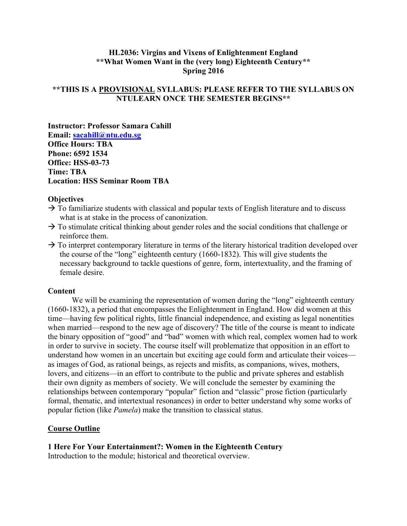## **HL2036: Virgins and Vixens of Enlightenment England \*\*What Women Want in the (very long) Eighteenth Century\*\* Spring 2016**

## **\*\*THIS IS A PROVISIONAL SYLLABUS: PLEASE REFER TO THE SYLLABUS ON NTULEARN ONCE THE SEMESTER BEGINS\*\***

**Instructor: Professor Samara Cahill Email: [sacahill@ntu.edu.sg](mailto:sacahill@ntu.edu.sg) Office Hours: TBA Phone: 6592 1534 Office: HSS-03-73 Time: TBA Location: HSS Seminar Room TBA**

#### **Objectives**

- $\rightarrow$  To familiarize students with classical and popular texts of English literature and to discuss what is at stake in the process of canonization.
- $\rightarrow$  To stimulate critical thinking about gender roles and the social conditions that challenge or reinforce them.
- $\rightarrow$  To interpret contemporary literature in terms of the literary historical tradition developed over the course of the "long" eighteenth century (1660-1832). This will give students the necessary background to tackle questions of genre, form, intertextuality, and the framing of female desire.

#### **Content**

We will be examining the representation of women during the "long" eighteenth century (1660-1832), a period that encompasses the Enlightenment in England. How did women at this time—having few political rights, little financial independence, and existing as legal nonentities when married—respond to the new age of discovery? The title of the course is meant to indicate the binary opposition of "good" and "bad" women with which real, complex women had to work in order to survive in society. The course itself will problematize that opposition in an effort to understand how women in an uncertain but exciting age could form and articulate their voices as images of God, as rational beings, as rejects and misfits, as companions, wives, mothers, lovers, and citizens—in an effort to contribute to the public and private spheres and establish their own dignity as members of society. We will conclude the semester by examining the relationships between contemporary "popular" fiction and "classic" prose fiction (particularly formal, thematic, and intertextual resonances) in order to better understand why some works of popular fiction (like *Pamela*) make the transition to classical status.

### **Course Outline**

### **1 Here For Your Entertainment?: Women in the Eighteenth Century**

Introduction to the module; historical and theoretical overview.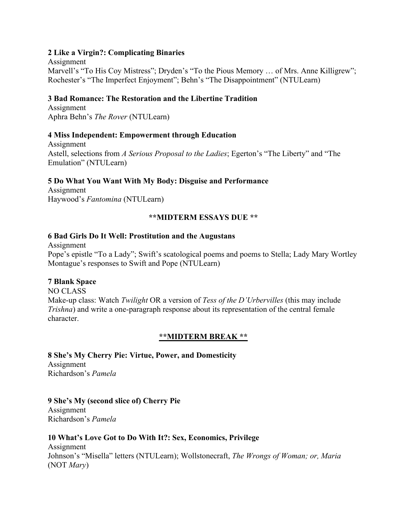### **2 Like a Virgin?: Complicating Binaries**

Assignment Marvell's "To His Coy Mistress"; Dryden's "To the Pious Memory … of Mrs. Anne Killigrew"; Rochester's "The Imperfect Enjoyment"; Behn's "The Disappointment" (NTULearn)

## **3 Bad Romance: The Restoration and the Libertine Tradition**

Assignment Aphra Behn's *The Rover* (NTULearn)

### **4 Miss Independent: Empowerment through Education**

Assignment Astell, selections from *A Serious Proposal to the Ladies*; Egerton's "The Liberty" and "The Emulation" (NTULearn)

### **5 Do What You Want With My Body: Disguise and Performance**

Assignment Haywood's *Fantomina* (NTULearn)

### **\*\*MIDTERM ESSAYS DUE \*\***

### **6 Bad Girls Do It Well: Prostitution and the Augustans**

Assignment Pope's epistle "To a Lady"; Swift's scatological poems and poems to Stella; Lady Mary Wortley Montague's responses to Swift and Pope (NTULearn)

## **7 Blank Space**

NO CLASS Make-up class: Watch *Twilight* OR a version of *Tess of the D'Urbervilles* (this may include *Trishna*) and write a one-paragraph response about its representation of the central female character.

### **\*\*MIDTERM BREAK \*\***

**8 She's My Cherry Pie: Virtue, Power, and Domesticity** Assignment Richardson's *Pamela*

### **9 She's My (second slice of) Cherry Pie**

Assignment Richardson's *Pamela*

### **10 What's Love Got to Do With It?: Sex, Economics, Privilege**

Assignment Johnson's "Misella" letters (NTULearn); Wollstonecraft, *The Wrongs of Woman; or, Maria*  (NOT *Mary*)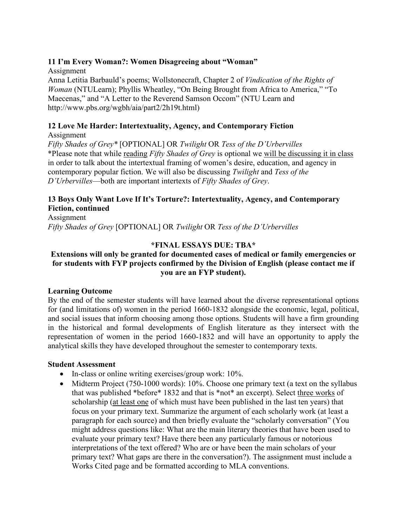## **11 I'm Every Woman?: Women Disagreeing about "Woman"**

Assignment Anna Letitia Barbauld's poems; Wollstonecraft, Chapter 2 of *Vindication of the Rights of Woman* (NTULearn); Phyllis Wheatley, "On Being Brought from Africa to America," "To Maecenas," and "A Letter to the Reverend Samson Occom" (NTU Learn and http://www.pbs.org/wgbh/aia/part2/2h19t.html)

## **12 Love Me Harder: Intertextuality, Agency, and Contemporary Fiction**

Assignment

*Fifty Shades of Grey\** [OPTIONAL] OR *Twilight* OR *Tess of the D'Urbervilles* \*Please note that while reading *Fifty Shades of Grey* is optional we will be discussing it in class in order to talk about the intertextual framing of women's desire, education, and agency in contemporary popular fiction. We will also be discussing *Twilight* and *Tess of the D'Urbervilles*—both are important intertexts of *Fifty Shades of Grey*.

# **13 Boys Only Want Love If It's Torture?: Intertextuality, Agency, and Contemporary Fiction, continued**

Assignment *Fifty Shades of Grey* [OPTIONAL] OR *Twilight* OR *Tess of the D'Urbervilles*

## **\*FINAL ESSAYS DUE: TBA\***

## **Extensions will only be granted for documented cases of medical or family emergencies or for students with FYP projects confirmed by the Division of English (please contact me if you are an FYP student).**

### **Learning Outcome**

By the end of the semester students will have learned about the diverse representational options for (and limitations of) women in the period 1660-1832 alongside the economic, legal, political, and social issues that inform choosing among those options. Students will have a firm grounding in the historical and formal developments of English literature as they intersect with the representation of women in the period 1660-1832 and will have an opportunity to apply the analytical skills they have developed throughout the semester to contemporary texts.

### **Student Assessment**

- In-class or online writing exercises/group work: 10%.
- Midterm Project (750-1000 words): 10%. Choose one primary text (a text on the syllabus that was published \*before\* 1832 and that is \*not\* an excerpt). Select three works of scholarship (at least one of which must have been published in the last ten years) that focus on your primary text. Summarize the argument of each scholarly work (at least a paragraph for each source) and then briefly evaluate the "scholarly conversation" (You might address questions like: What are the main literary theories that have been used to evaluate your primary text? Have there been any particularly famous or notorious interpretations of the text offered? Who are or have been the main scholars of your primary text? What gaps are there in the conversation?). The assignment must include a Works Cited page and be formatted according to MLA conventions.